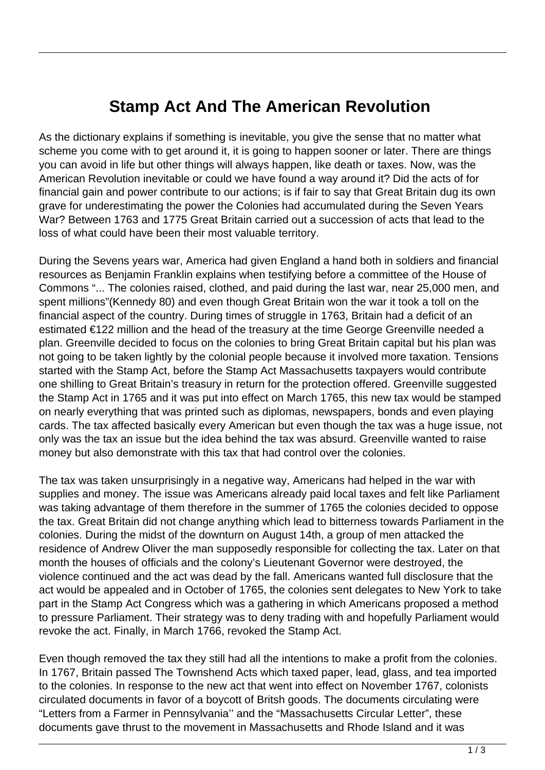## **Stamp Act And The American Revolution**

As the dictionary explains if something is inevitable, you give the sense that no matter what scheme you come with to get around it, it is going to happen sooner or later. There are things you can avoid in life but other things will always happen, like death or taxes. Now, was the American Revolution inevitable or could we have found a way around it? Did the acts of for financial gain and power contribute to our actions; is if fair to say that Great Britain dug its own grave for underestimating the power the Colonies had accumulated during the Seven Years War? Between 1763 and 1775 Great Britain carried out a succession of acts that lead to the loss of what could have been their most valuable territory.

During the Sevens years war, America had given England a hand both in soldiers and financial resources as Benjamin Franklin explains when testifying before a committee of the House of Commons "... The colonies raised, clothed, and paid during the last war, near 25,000 men, and spent millions"(Kennedy 80) and even though Great Britain won the war it took a toll on the financial aspect of the country. During times of struggle in 1763, Britain had a deficit of an estimated €122 million and the head of the treasury at the time George Greenville needed a plan. Greenville decided to focus on the colonies to bring Great Britain capital but his plan was not going to be taken lightly by the colonial people because it involved more taxation. Tensions started with the Stamp Act, before the Stamp Act Massachusetts taxpayers would contribute one shilling to Great Britain's treasury in return for the protection offered. Greenville suggested the Stamp Act in 1765 and it was put into effect on March 1765, this new tax would be stamped on nearly everything that was printed such as diplomas, newspapers, bonds and even playing cards. The tax affected basically every American but even though the tax was a huge issue, not only was the tax an issue but the idea behind the tax was absurd. Greenville wanted to raise money but also demonstrate with this tax that had control over the colonies.

The tax was taken unsurprisingly in a negative way, Americans had helped in the war with supplies and money. The issue was Americans already paid local taxes and felt like Parliament was taking advantage of them therefore in the summer of 1765 the colonies decided to oppose the tax. Great Britain did not change anything which lead to bitterness towards Parliament in the colonies. During the midst of the downturn on August 14th, a group of men attacked the residence of Andrew Oliver the man supposedly responsible for collecting the tax. Later on that month the houses of officials and the colony's Lieutenant Governor were destroyed, the violence continued and the act was dead by the fall. Americans wanted full disclosure that the act would be appealed and in October of 1765, the colonies sent delegates to New York to take part in the Stamp Act Congress which was a gathering in which Americans proposed a method to pressure Parliament. Their strategy was to deny trading with and hopefully Parliament would revoke the act. Finally, in March 1766, revoked the Stamp Act.

Even though removed the tax they still had all the intentions to make a profit from the colonies. In 1767, Britain passed The Townshend Acts which taxed paper, lead, glass, and tea imported to the colonies. In response to the new act that went into effect on November 1767, colonists circulated documents in favor of a boycott of Britsh goods. The documents circulating were "Letters from a Farmer in Pennsylvania'' and the "Massachusetts Circular Letter", these documents gave thrust to the movement in Massachusetts and Rhode Island and it was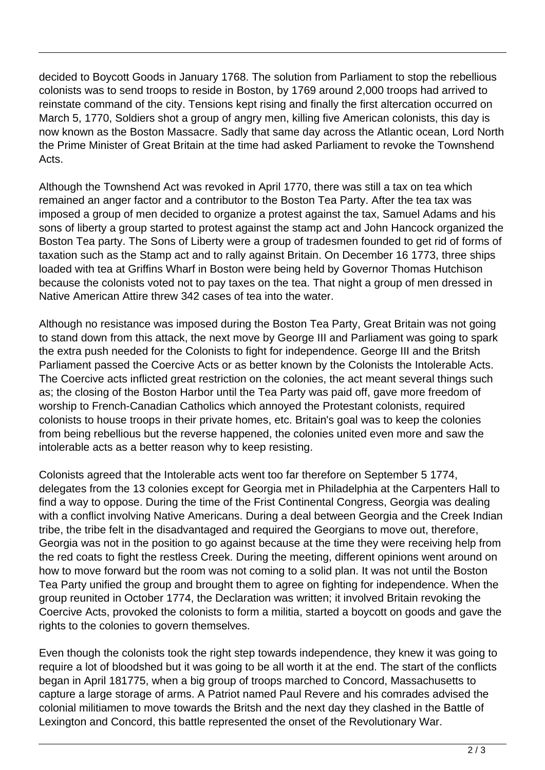decided to Boycott Goods in January 1768. The solution from Parliament to stop the rebellious colonists was to send troops to reside in Boston, by 1769 around 2,000 troops had arrived to reinstate command of the city. Tensions kept rising and finally the first altercation occurred on March 5, 1770, Soldiers shot a group of angry men, killing five American colonists, this day is now known as the Boston Massacre. Sadly that same day across the Atlantic ocean, Lord North the Prime Minister of Great Britain at the time had asked Parliament to revoke the Townshend Acts.

Although the Townshend Act was revoked in April 1770, there was still a tax on tea which remained an anger factor and a contributor to the Boston Tea Party. After the tea tax was imposed a group of men decided to organize a protest against the tax, Samuel Adams and his sons of liberty a group started to protest against the stamp act and John Hancock organized the Boston Tea party. The Sons of Liberty were a group of tradesmen founded to get rid of forms of taxation such as the Stamp act and to rally against Britain. On December 16 1773, three ships loaded with tea at Griffins Wharf in Boston were being held by Governor Thomas Hutchison because the colonists voted not to pay taxes on the tea. That night a group of men dressed in Native American Attire threw 342 cases of tea into the water.

Although no resistance was imposed during the Boston Tea Party, Great Britain was not going to stand down from this attack, the next move by George III and Parliament was going to spark the extra push needed for the Colonists to fight for independence. George III and the Britsh Parliament passed the Coercive Acts or as better known by the Colonists the Intolerable Acts. The Coercive acts inflicted great restriction on the colonies, the act meant several things such as; the closing of the Boston Harbor until the Tea Party was paid off, gave more freedom of worship to French-Canadian Catholics which annoyed the Protestant colonists, required colonists to house troops in their private homes, etc. Britain's goal was to keep the colonies from being rebellious but the reverse happened, the colonies united even more and saw the intolerable acts as a better reason why to keep resisting.

Colonists agreed that the Intolerable acts went too far therefore on September 5 1774, delegates from the 13 colonies except for Georgia met in Philadelphia at the Carpenters Hall to find a way to oppose. During the time of the Frist Continental Congress, Georgia was dealing with a conflict involving Native Americans. During a deal between Georgia and the Creek Indian tribe, the tribe felt in the disadvantaged and required the Georgians to move out, therefore, Georgia was not in the position to go against because at the time they were receiving help from the red coats to fight the restless Creek. During the meeting, different opinions went around on how to move forward but the room was not coming to a solid plan. It was not until the Boston Tea Party unified the group and brought them to agree on fighting for independence. When the group reunited in October 1774, the Declaration was written; it involved Britain revoking the Coercive Acts, provoked the colonists to form a militia, started a boycott on goods and gave the rights to the colonies to govern themselves.

Even though the colonists took the right step towards independence, they knew it was going to require a lot of bloodshed but it was going to be all worth it at the end. The start of the conflicts began in April 181775, when a big group of troops marched to Concord, Massachusetts to capture a large storage of arms. A Patriot named Paul Revere and his comrades advised the colonial militiamen to move towards the Britsh and the next day they clashed in the Battle of Lexington and Concord, this battle represented the onset of the Revolutionary War.